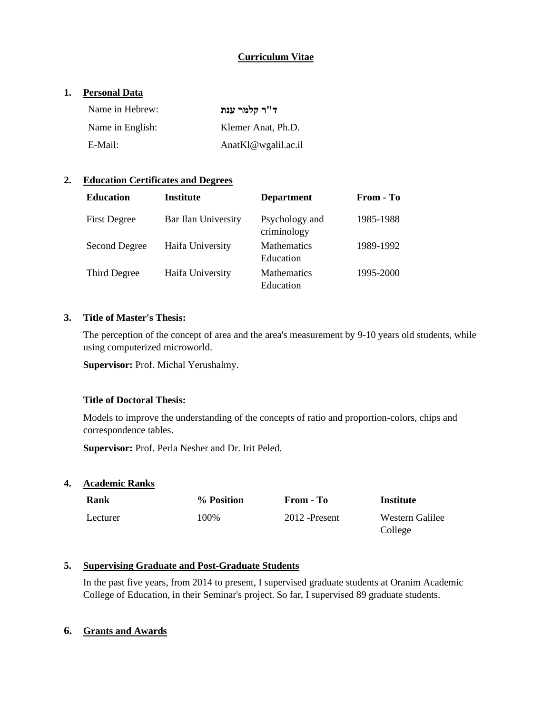# **Curriculum Vitae**

# **1. Personal Data**

| Name in Hebrew:  | ד"ר קלמר ענת           |
|------------------|------------------------|
| Name in English: | Klemer Anat, Ph.D.     |
| E-Mail:          | $AnatK1@$ wgalil.ac.il |

# **2. Education Certificates and Degrees**

| <b>Education</b>    | <b>Institute</b>    | <b>Department</b>               | From - To |
|---------------------|---------------------|---------------------------------|-----------|
| <b>First Degree</b> | Bar Ilan University | Psychology and<br>criminology   | 1985-1988 |
| Second Degree       | Haifa University    | <b>Mathematics</b><br>Education | 1989-1992 |
| Third Degree        | Haifa University    | <b>Mathematics</b><br>Education | 1995-2000 |

## **3. Title of Master's Thesis:**

The perception of the concept of area and the area's measurement by 9-10 years old students, while using computerized microworld.

**Supervisor:** Prof. Michal Yerushalmy.

#### **Title of Doctoral Thesis:**

Models to improve the understanding of the concepts of ratio and proportion-colors, chips and correspondence tables.

**Supervisor:** Prof. Perla Nesher and Dr. Irit Peled.

# **4. Academic Ranks**

| <b>Rank</b> | % Position | From - To      | Institute                  |
|-------------|------------|----------------|----------------------------|
| Lecturer    | 100%       | 2012 - Present | Western Galilee<br>College |

#### **5. Supervising Graduate and Post-Graduate Students**

In the past five years, from 2014 to present, I supervised graduate students at Oranim Academic College of Education, in their Seminar's project. So far, I supervised 89 graduate students.

#### **6. Grants and Awards**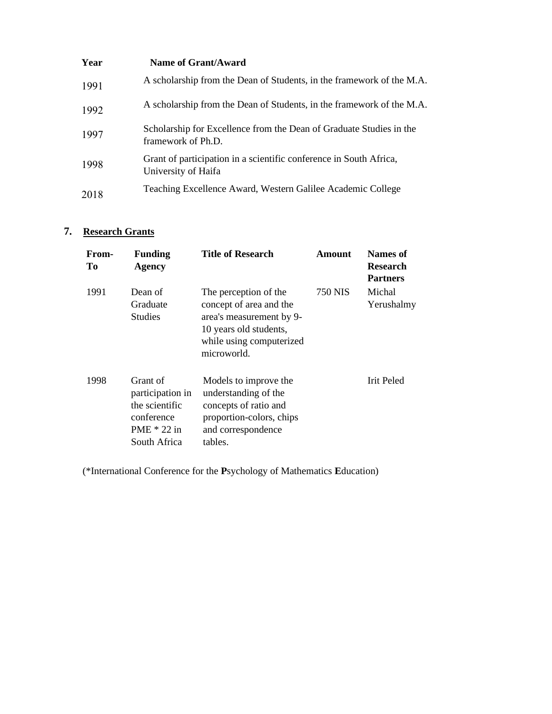| Year | Name of Grant/Award                                                                       |
|------|-------------------------------------------------------------------------------------------|
| 1991 | A scholarship from the Dean of Students, in the framework of the M.A.                     |
| 1992 | A scholarship from the Dean of Students, in the framework of the M.A.                     |
| 1997 | Scholarship for Excellence from the Dean of Graduate Studies in the<br>framework of Ph.D. |
| 1998 | Grant of participation in a scientific conference in South Africa,<br>University of Haifa |
| 2018 | Teaching Excellence Award, Western Galilee Academic College                               |

# **7. Research Grants**

| From-<br>To | <b>Funding</b><br><b>Agency</b>                                                               | <b>Title of Research</b>                                                                                                                          | Amount  | Names of<br><b>Research</b><br><b>Partners</b> |
|-------------|-----------------------------------------------------------------------------------------------|---------------------------------------------------------------------------------------------------------------------------------------------------|---------|------------------------------------------------|
| 1991        | Dean of<br>Graduate<br><b>Studies</b>                                                         | The perception of the<br>concept of area and the<br>area's measurement by 9-<br>10 years old students,<br>while using computerized<br>microworld. | 750 NIS | Michal<br>Yerushalmy                           |
| 1998        | Grant of<br>participation in<br>the scientific<br>conference<br>$PME * 22$ in<br>South Africa | Models to improve the<br>understanding of the<br>concepts of ratio and<br>proportion-colors, chips<br>and correspondence<br>tables.               |         | Irit Peled                                     |

(\*International Conference for the **P**sychology of Mathematics **E**ducation)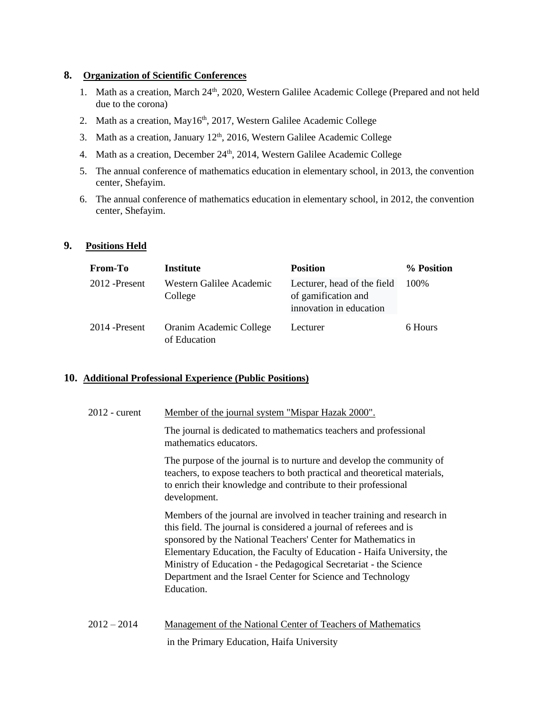#### **8. Organization of Scientific Conferences**

- 1. Math as a creation, March 24<sup>th</sup>, 2020, Western Galilee Academic College (Prepared and not held due to the corona)
- 2. Math as a creation, May16<sup>th</sup>, 2017, Western Galilee Academic College
- 3. Math as a creation, January  $12<sup>th</sup>$ , 2016, Western Galilee Academic College
- 4. Math as a creation, December 24<sup>th</sup>, 2014, Western Galilee Academic College
- 5. The annual conference of mathematics education in elementary school, in 2013, the convention center, Shefayim.
- 6. The annual conference of mathematics education in elementary school, in 2012, the convention center, Shefayim.

#### **9. Positions Held**

| <b>From-To</b> | <b>Institute</b>                        | <b>Position</b>                                                               | % Position |
|----------------|-----------------------------------------|-------------------------------------------------------------------------------|------------|
| 2012 - Present | Western Galilee Academic<br>College     | Lecturer, head of the field<br>of gamification and<br>innovation in education | 100%       |
| 2014 - Present | Oranim Academic College<br>of Education | Lecturer                                                                      | 6 Hours    |

#### **10. Additional Professional Experience (Public Positions)**

| $2012$ - curent | <u>Member of the journal system "Mispar Hazak 2000".</u>                                                                                                                                                                                                                                                                                                                                                                                   |
|-----------------|--------------------------------------------------------------------------------------------------------------------------------------------------------------------------------------------------------------------------------------------------------------------------------------------------------------------------------------------------------------------------------------------------------------------------------------------|
|                 | The journal is dedicated to mathematics teachers and professional<br>mathematics educators.                                                                                                                                                                                                                                                                                                                                                |
|                 | The purpose of the journal is to nurture and develop the community of<br>teachers, to expose teachers to both practical and theoretical materials,<br>to enrich their knowledge and contribute to their professional<br>development.                                                                                                                                                                                                       |
|                 | Members of the journal are involved in teacher training and research in<br>this field. The journal is considered a journal of referees and is<br>sponsored by the National Teachers' Center for Mathematics in<br>Elementary Education, the Faculty of Education - Haifa University, the<br>Ministry of Education - the Pedagogical Secretariat - the Science<br>Department and the Israel Center for Science and Technology<br>Education. |
| $2012 - 2014$   | <b>Management of the National Center of Teachers of Mathematics</b>                                                                                                                                                                                                                                                                                                                                                                        |

in the Primary Education, Haifa University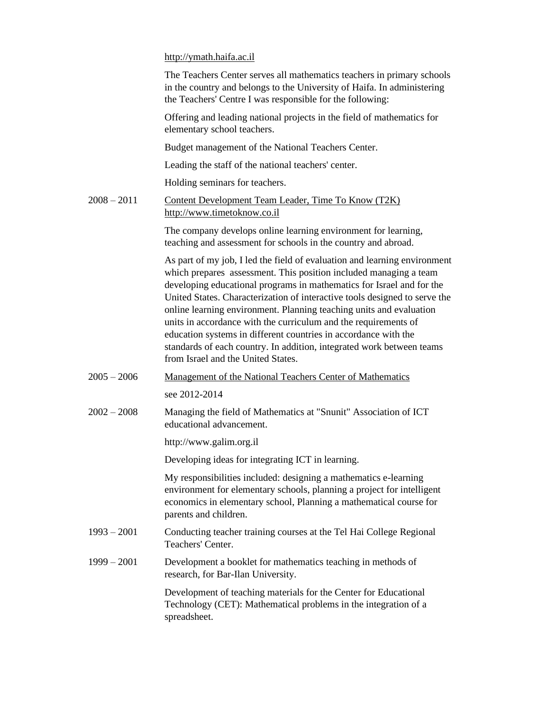[http://ymath.haifa.ac.il](http://ymath.haifa.ac.il/)

|               | The Teachers Center serves all mathematics teachers in primary schools<br>in the country and belongs to the University of Haifa. In administering<br>the Teachers' Centre I was responsible for the following:                                                                                                                                                                                                                                                                                                                                                                                                                    |
|---------------|-----------------------------------------------------------------------------------------------------------------------------------------------------------------------------------------------------------------------------------------------------------------------------------------------------------------------------------------------------------------------------------------------------------------------------------------------------------------------------------------------------------------------------------------------------------------------------------------------------------------------------------|
|               | Offering and leading national projects in the field of mathematics for<br>elementary school teachers.                                                                                                                                                                                                                                                                                                                                                                                                                                                                                                                             |
|               | Budget management of the National Teachers Center.                                                                                                                                                                                                                                                                                                                                                                                                                                                                                                                                                                                |
|               | Leading the staff of the national teachers' center.                                                                                                                                                                                                                                                                                                                                                                                                                                                                                                                                                                               |
|               | Holding seminars for teachers.                                                                                                                                                                                                                                                                                                                                                                                                                                                                                                                                                                                                    |
| $2008 - 2011$ | Content Development Team Leader, Time To Know (T2K)<br>http://www.timetoknow.co.il                                                                                                                                                                                                                                                                                                                                                                                                                                                                                                                                                |
|               | The company develops online learning environment for learning,<br>teaching and assessment for schools in the country and abroad.                                                                                                                                                                                                                                                                                                                                                                                                                                                                                                  |
|               | As part of my job, I led the field of evaluation and learning environment<br>which prepares assessment. This position included managing a team<br>developing educational programs in mathematics for Israel and for the<br>United States. Characterization of interactive tools designed to serve the<br>online learning environment. Planning teaching units and evaluation<br>units in accordance with the curriculum and the requirements of<br>education systems in different countries in accordance with the<br>standards of each country. In addition, integrated work between teams<br>from Israel and the United States. |
| $2005 - 2006$ | <b>Management of the National Teachers Center of Mathematics</b>                                                                                                                                                                                                                                                                                                                                                                                                                                                                                                                                                                  |
|               | see 2012-2014                                                                                                                                                                                                                                                                                                                                                                                                                                                                                                                                                                                                                     |
| $2002 - 2008$ | Managing the field of Mathematics at "Snunit" Association of ICT<br>educational advancement.                                                                                                                                                                                                                                                                                                                                                                                                                                                                                                                                      |
|               | http://www.galim.org.il                                                                                                                                                                                                                                                                                                                                                                                                                                                                                                                                                                                                           |
|               | Developing ideas for integrating ICT in learning.                                                                                                                                                                                                                                                                                                                                                                                                                                                                                                                                                                                 |
|               | My responsibilities included: designing a mathematics e-learning<br>environment for elementary schools, planning a project for intelligent<br>economics in elementary school, Planning a mathematical course for<br>parents and children.                                                                                                                                                                                                                                                                                                                                                                                         |
| $1993 - 2001$ | Conducting teacher training courses at the Tel Hai College Regional<br>Teachers' Center.                                                                                                                                                                                                                                                                                                                                                                                                                                                                                                                                          |
| $1999 - 2001$ | Development a booklet for mathematics teaching in methods of<br>research, for Bar-Ilan University.                                                                                                                                                                                                                                                                                                                                                                                                                                                                                                                                |
|               | Development of teaching materials for the Center for Educational<br>Technology (CET): Mathematical problems in the integration of a<br>spreadsheet.                                                                                                                                                                                                                                                                                                                                                                                                                                                                               |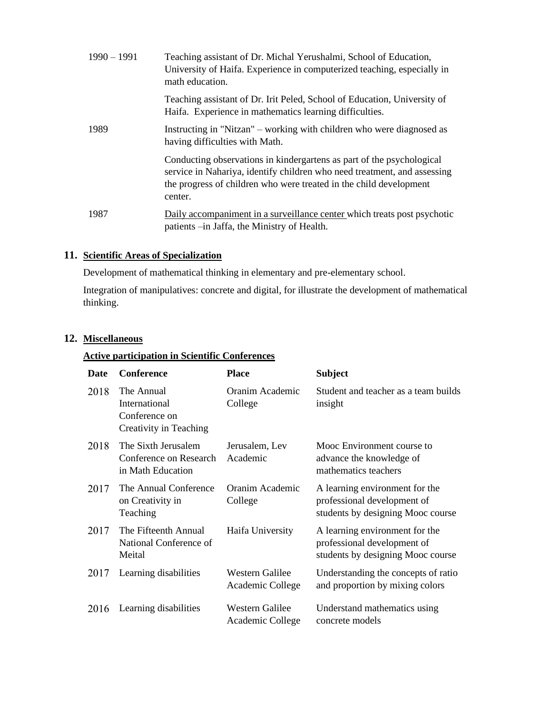| $1990 - 1991$ | Teaching assistant of Dr. Michal Yerushalmi, School of Education,<br>University of Haifa. Experience in computerized teaching, especially in<br>math education.                                                                    |
|---------------|------------------------------------------------------------------------------------------------------------------------------------------------------------------------------------------------------------------------------------|
|               | Teaching assistant of Dr. Irit Peled, School of Education, University of<br>Haifa. Experience in mathematics learning difficulties.                                                                                                |
| 1989          | Instructing in "Nitzan" – working with children who were diagnosed as<br>having difficulties with Math.                                                                                                                            |
|               | Conducting observations in kindergartens as part of the psychological<br>service in Nahariya, identify children who need treatment, and assessing<br>the progress of children who were treated in the child development<br>center. |
| 1987          | Daily accompaniment in a surveillance center which treats post psychotic<br>patients -in Jaffa, the Ministry of Health.                                                                                                            |

# **11. Scientific Areas of Specialization**

Development of mathematical thinking in elementary and pre-elementary school.

Integration of manipulatives: concrete and digital, for illustrate the development of mathematical thinking.

# **12. Miscellaneous**

# **Active participation in Scientific Conferences**

| Date | <b>Conference</b>                                                      | <b>Place</b>                        | <b>Subject</b>                                                                                     |
|------|------------------------------------------------------------------------|-------------------------------------|----------------------------------------------------------------------------------------------------|
| 2018 | The Annual<br>International<br>Conference on<br>Creativity in Teaching | Oranim Academic<br>College          | Student and teacher as a team builds<br>insight                                                    |
| 2018 | The Sixth Jerusalem<br>Conference on Research<br>in Math Education     | Jerusalem, Lev<br>Academic          | Mooc Environment course to<br>advance the knowledge of<br>mathematics teachers                     |
| 2017 | The Annual Conference<br>on Creativity in<br>Teaching                  | Oranim Academic<br>College          | A learning environment for the<br>professional development of<br>students by designing Mooc course |
| 2017 | The Fifteenth Annual<br>National Conference of<br>Meital               | Haifa University                    | A learning environment for the<br>professional development of<br>students by designing Mooc course |
| 2017 | Learning disabilities                                                  | Western Galilee<br>Academic College | Understanding the concepts of ratio<br>and proportion by mixing colors                             |
| 2016 | Learning disabilities                                                  | Western Galilee<br>Academic College | Understand mathematics using<br>concrete models                                                    |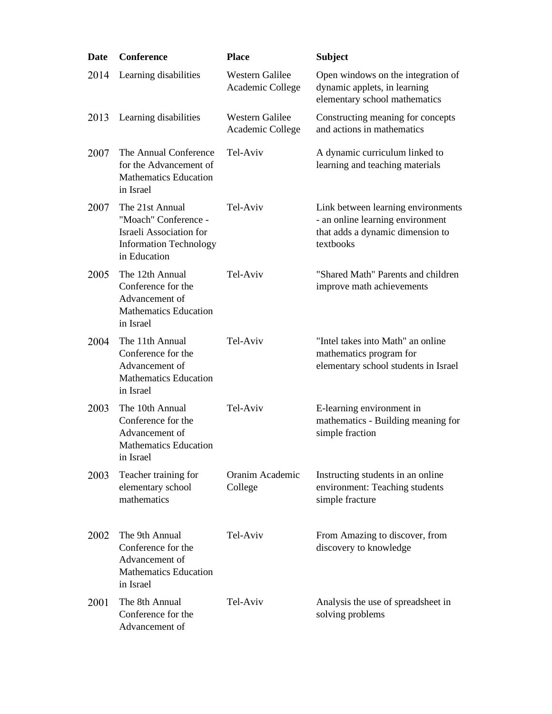| Date | Conference                                                                                                                 | <b>Place</b>                               | <b>Subject</b>                                                                                                          |
|------|----------------------------------------------------------------------------------------------------------------------------|--------------------------------------------|-------------------------------------------------------------------------------------------------------------------------|
| 2014 | Learning disabilities                                                                                                      | Western Galilee<br>Academic College        | Open windows on the integration of<br>dynamic applets, in learning<br>elementary school mathematics                     |
| 2013 | Learning disabilities                                                                                                      | <b>Western Galilee</b><br>Academic College | Constructing meaning for concepts<br>and actions in mathematics                                                         |
| 2007 | The Annual Conference<br>for the Advancement of<br><b>Mathematics Education</b><br>in Israel                               | Tel-Aviv                                   | A dynamic curriculum linked to<br>learning and teaching materials                                                       |
| 2007 | The 21st Annual<br>"Moach" Conference -<br><b>Israeli Association for</b><br><b>Information Technology</b><br>in Education | Tel-Aviv                                   | Link between learning environments<br>- an online learning environment<br>that adds a dynamic dimension to<br>textbooks |
| 2005 | The 12th Annual<br>Conference for the<br>Advancement of<br><b>Mathematics Education</b><br>in Israel                       | Tel-Aviv                                   | "Shared Math" Parents and children<br>improve math achievements                                                         |
| 2004 | The 11th Annual<br>Conference for the<br>Advancement of<br><b>Mathematics Education</b><br>in Israel                       | Tel-Aviv                                   | "Intel takes into Math" an online<br>mathematics program for<br>elementary school students in Israel                    |
| 2003 | The 10th Annual<br>Conference for the<br>Advancement of<br><b>Mathematics Education</b><br>in Israel                       | Tel-Aviv                                   | E-learning environment in<br>mathematics - Building meaning for<br>simple fraction                                      |
| 2003 | Teacher training for<br>elementary school<br>mathematics                                                                   | Oranim Academic<br>College                 | Instructing students in an online<br>environment: Teaching students<br>simple fracture                                  |
| 2002 | The 9th Annual<br>Conference for the<br>Advancement of<br><b>Mathematics Education</b><br>in Israel                        | Tel-Aviv                                   | From Amazing to discover, from<br>discovery to knowledge                                                                |
| 2001 | The 8th Annual<br>Conference for the<br>Advancement of                                                                     | Tel-Aviv                                   | Analysis the use of spreadsheet in<br>solving problems                                                                  |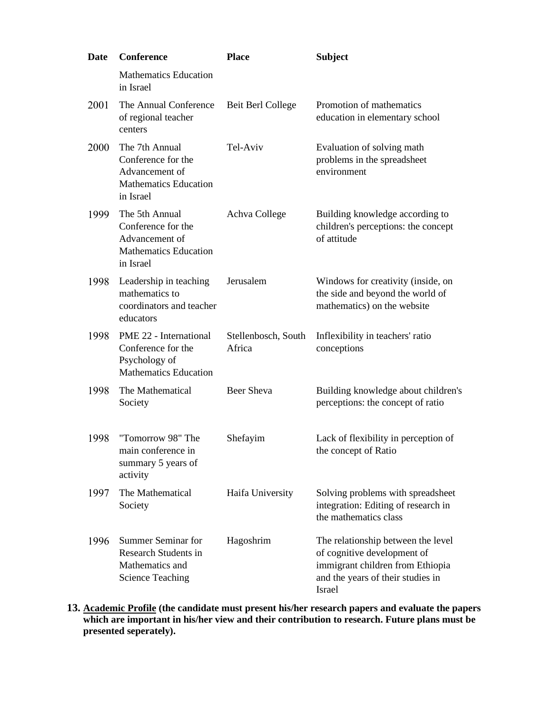| Date | <b>Conference</b>                                                                                   | <b>Place</b>                  | <b>Subject</b>                                                                                                                                       |
|------|-----------------------------------------------------------------------------------------------------|-------------------------------|------------------------------------------------------------------------------------------------------------------------------------------------------|
|      | <b>Mathematics Education</b><br>in Israel                                                           |                               |                                                                                                                                                      |
| 2001 | The Annual Conference<br>of regional teacher<br>centers                                             | Beit Berl College             | Promotion of mathematics<br>education in elementary school                                                                                           |
| 2000 | The 7th Annual<br>Conference for the<br>Advancement of<br><b>Mathematics Education</b><br>in Israel | Tel-Aviv                      | Evaluation of solving math<br>problems in the spreadsheet<br>environment                                                                             |
| 1999 | The 5th Annual<br>Conference for the<br>Advancement of<br><b>Mathematics Education</b><br>in Israel | Achva College                 | Building knowledge according to<br>children's perceptions: the concept<br>of attitude                                                                |
| 1998 | Leadership in teaching<br>mathematics to<br>coordinators and teacher<br>educators                   | Jerusalem                     | Windows for creativity (inside, on<br>the side and beyond the world of<br>mathematics) on the website                                                |
| 1998 | PME 22 - International<br>Conference for the<br>Psychology of<br><b>Mathematics Education</b>       | Stellenbosch, South<br>Africa | Inflexibility in teachers' ratio<br>conceptions                                                                                                      |
| 1998 | The Mathematical<br>Society                                                                         | <b>Beer Sheva</b>             | Building knowledge about children's<br>perceptions: the concept of ratio                                                                             |
| 1998 | "Tomorrow 98" The<br>main conference in<br>summary 5 years of<br>activity                           | Shefayim                      | Lack of flexibility in perception of<br>the concept of Ratio                                                                                         |
| 1997 | The Mathematical<br>Society                                                                         | Haifa University              | Solving problems with spreadsheet<br>integration: Editing of research in<br>the mathematics class                                                    |
| 1996 | Summer Seminar for<br><b>Research Students in</b><br>Mathematics and<br><b>Science Teaching</b>     | Hagoshrim                     | The relationship between the level<br>of cognitive development of<br>immigrant children from Ethiopia<br>and the years of their studies in<br>Israel |

**13. Academic Profile (the candidate must present his/her research papers and evaluate the papers which are important in his/her view and their contribution to research. Future plans must be presented seperately).**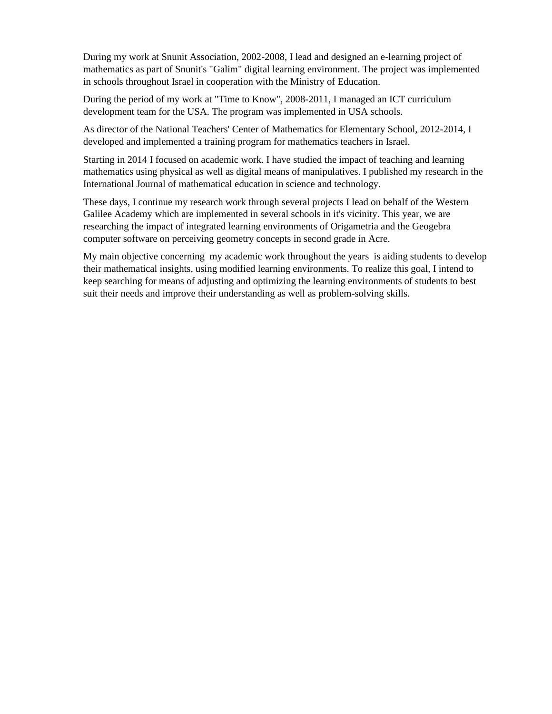During my work at Snunit Association, 2002-2008, I lead and designed an e-learning project of mathematics as part of Snunit's "Galim" digital learning environment. The project was implemented in schools throughout Israel in cooperation with the Ministry of Education.

During the period of my work at "Time to Know", 2008-2011, I managed an ICT curriculum development team for the USA. The program was implemented in USA schools.

As director of the National Teachers' Center of Mathematics for Elementary School, 2012-2014, I developed and implemented a training program for mathematics teachers in Israel.

Starting in 2014 I focused on academic work. I have studied the impact of teaching and learning mathematics using physical as well as digital means of manipulatives. I published my research in the International Journal of mathematical education in science and technology.

These days, I continue my research work through several projects I lead on behalf of the Western Galilee Academy which are implemented in several schools in it's vicinity. This year, we are researching the impact of integrated learning environments of Origametria and the Geogebra computer software on perceiving geometry concepts in second grade in Acre.

My main objective concerning my academic work throughout the years is aiding students to develop their mathematical insights, using modified learning environments. To realize this goal, I intend to keep searching for means of adjusting and optimizing the learning environments of students to best suit their needs and improve their understanding as well as problem-solving skills.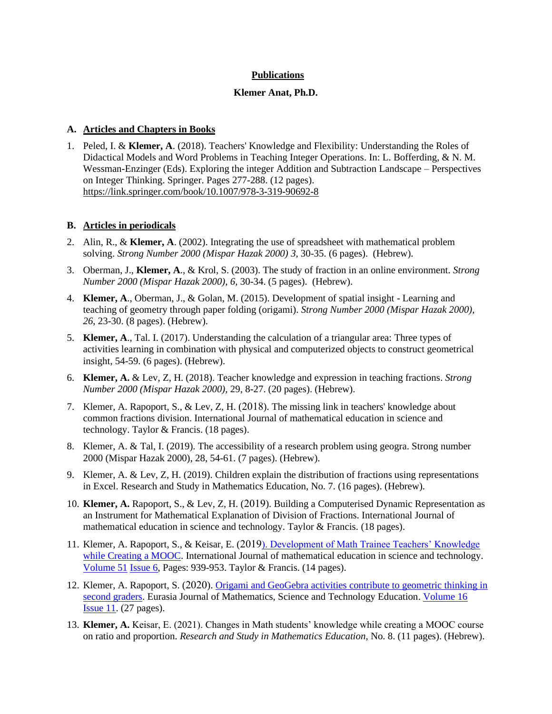## **Publications**

#### **Klemer Anat, Ph.D.**

### **A. Articles and Chapters in Books**

1. Peled, I. & **Klemer, A**. (2018). [Teachers' Knowledge and Flexibility: Understanding the Roles of](https://drive.google.com/file/d/1ZV0QtK8p06uk1qmnBLSFmJ_mFqHvN5a7/view?usp=sharing)  [Didactical Models and Word Problems in Teaching Integer Operations.](https://drive.google.com/file/d/1ZV0QtK8p06uk1qmnBLSFmJ_mFqHvN5a7/view?usp=sharing) In: L. Bofferding, & N. M. Wessman-Enzinger (Eds). Exploring the integer Addition and Subtraction Landscape – Perspectives on Integer Thinking. Springer. Pages 277-288. (12 pages). <https://link.springer.com/book/10.1007/978-3-319-90692-8>

#### **B. Articles in periodicals**

- 2. Alin, R., & **Klemer, A**. (2002). Integrating the use of spreadsheet with mathematical problem solving. *Strong Number 2000 (Mispar Hazak 2000) 3,* 30-35. (6 pages). (Hebrew).
- 3. Oberman, J., **Klemer, A**., & Krol, S. (2003). The study of fraction in an online environment. *Strong Number 2000 (Mispar Hazak 2000), 6,* 30-34. (5 pages). (Hebrew).
- 4. **Klemer, A**., Oberman, J., & Golan, M. (2015). Development of spatial insight Learning and teaching of geometry through paper folding (origami). *Strong Number 2000 (Mispar Hazak 2000), 26*, 23-30. (8 pages). (Hebrew).
- 5. **Klemer, A**., Tal. I. (2017). Understanding the calculation of a triangular area: Three types of activities learning in combination with physical and computerized objects to construct geometrical insight, 54-59. (6 pages). (Hebrew).
- 6. **Klemer, A.** & Lev, Z, H. (2018). Teacher knowledge and expression in teaching fractions. *Strong Number 2000 (Mispar Hazak 2000),* 29, 8-27. (20 pages). (Hebrew).
- 7. Klemer, A. Rapoport, S., & Lev, Z, H. (2018). The missing link in teachers' knowledge about common fractions division. International Journal of mathematical education in science and technology. Taylor & Francis. (18 pages).
- 8. Klemer, A. & Tal, I. (2019). The accessibility of a research problem using geogra. Strong number 2000 (Mispar Hazak 2000), 28, 54-61. (7 pages). (Hebrew).
- 9. Klemer, A. & Lev, Z, H. (2019). Children explain the distribution of fractions using representations in Excel. Research and Study in Mathematics Education, No. 7. (16 pages). (Hebrew).
- 10. **Klemer, A.** Rapoport, S., & Lev, Z, H. (2019). Building a Computerised Dynamic Representation as an Instrument for Mathematical Explanation of Division of Fractions. International Journal of mathematical education in science and technology. Taylor & Francis. (18 pages).
- 11. Klemer, A. Rapoport, S., & Keisar, E. (2019[\). Development of Math Trainee Teachers' Knowledge](https://www.tandfonline.com/eprint/NYP75J3V8HKSJ884VGEI/full?target=10.1080/0020739X.2019.1688402)  [while Creating a MOOC.](https://www.tandfonline.com/eprint/NYP75J3V8HKSJ884VGEI/full?target=10.1080/0020739X.2019.1688402) International Journal of mathematical education in science and technology. [Volume 51](http://url310.tandfonline.com/ls/click?upn=odl8Fji2pFaByYDqV3bjGMQo8st9of2228V6AcSFNq2qnBTjLO5GZ-2BfldF-2BAekpQUamSQhNT-2Bzg1XdHQqiP9oyJp0tT3e2CCnp9lT8cAa4k1adklR0QW7MvfecYcbjZAAu-F_W2dxqK5xWgjU7P0XkwKr8lZieiqS2-2FLkICucZTuKCr4CbsBkRG1ZbhABw-2BB4ecrDfVn5cZnrApYZVT-2FFVdjLGJmt6OgmKsIKFFZK-2ByyeWrfb42YKcsG0kR6PefuAuT3ujde5FmxTT7c3zyIE753VpG35u0VoBVco3wqYRyygjX5JyAbT420xEdKRmY9-2FVzq7b8C-2FLL645QfxdPUXo6njrmFlyxp8X-2FSGpqHiHPTX7iOOwqrkeOfb5biV4ZRYvVL2Kv6x0kQaWtsrsAGEVPAsNizXkY3STYnFAEnBaGG8Gxo-3D) [Issue 6,](http://url310.tandfonline.com/ls/click?upn=odl8Fji2pFaByYDqV3bjGMQo8st9of2228V6AcSFNq1a9-2FMBbkMts5Cqb-2FsUM8UR0cOnpgwpmlSIrDYp306UQQ-3D-3DO9vN_W2dxqK5xWgjU7P0XkwKr8lZieiqS2-2FLkICucZTuKCr4CbsBkRG1ZbhABw-2BB4ecrDfVn5cZnrApYZVT-2FFVdjLGJmt6OgmKsIKFFZK-2ByyeWregAmjNGEcIimBuGrkqPaXZj3bOYdR5g1Frfe4INBbJODj0pVVPYucxx6prgen4f90iOcZ-2Bmy5fNEe-2B9nw8-2FYNwCU2-2BycytEC-2F9GImRfse86Nqk6agEgjXogFOaQk3eTkAanwR-2BHrREAnnd19RbTWSWhz-2BYSneBAGgeBjBV2aTEa0rh0hTM9PupQqJw07mjAdU-3D) Pages: 939-953. Taylor & Francis. (14 pages).
- 12. Klemer, A. Rapoport, S. (2020). [Origami and GeoGebra activities contribute to geometric thinking in](https://www.ejmste.com/download/origami-and-geogebra-activities-contribute-to-geometric-thinking-in-second-graders-8537.pdf)  [second graders.](https://www.ejmste.com/download/origami-and-geogebra-activities-contribute-to-geometric-thinking-in-second-graders-8537.pdf) Eurasia Journal of Mathematics, Science and Technology Education. [Volume 16](http://url310.tandfonline.com/ls/click?upn=odl8Fji2pFaByYDqV3bjGMQo8st9of2228V6AcSFNq2qnBTjLO5GZ-2BfldF-2BAekpQUamSQhNT-2Bzg1XdHQqiP9oyJp0tT3e2CCnp9lT8cAa4k1adklR0QW7MvfecYcbjZAAu-F_W2dxqK5xWgjU7P0XkwKr8lZieiqS2-2FLkICucZTuKCr4CbsBkRG1ZbhABw-2BB4ecrDfVn5cZnrApYZVT-2FFVdjLGJmt6OgmKsIKFFZK-2ByyeWrfb42YKcsG0kR6PefuAuT3ujde5FmxTT7c3zyIE753VpG35u0VoBVco3wqYRyygjX5JyAbT420xEdKRmY9-2FVzq7b8C-2FLL645QfxdPUXo6njrmFlyxp8X-2FSGpqHiHPTX7iOOwqrkeOfb5biV4ZRYvVL2Kv6x0kQaWtsrsAGEVPAsNizXkY3STYnFAEnBaGG8Gxo-3D) **[Issue 11.](http://url310.tandfonline.com/ls/click?upn=odl8Fji2pFaByYDqV3bjGMQo8st9of2228V6AcSFNq1a9-2FMBbkMts5Cqb-2FsUM8UR0cOnpgwpmlSIrDYp306UQQ-3D-3DO9vN_W2dxqK5xWgjU7P0XkwKr8lZieiqS2-2FLkICucZTuKCr4CbsBkRG1ZbhABw-2BB4ecrDfVn5cZnrApYZVT-2FFVdjLGJmt6OgmKsIKFFZK-2ByyeWregAmjNGEcIimBuGrkqPaXZj3bOYdR5g1Frfe4INBbJODj0pVVPYucxx6prgen4f90iOcZ-2Bmy5fNEe-2B9nw8-2FYNwCU2-2BycytEC-2F9GImRfse86Nqk6agEgjXogFOaQk3eTkAanwR-2BHrREAnnd19RbTWSWhz-2BYSneBAGgeBjBV2aTEa0rh0hTM9PupQqJw07mjAdU-3D)** (27 pages).
- 13. **Klemer, A.** Keisar, E. (2021). Changes in Math students' knowledge while creating a MOOC course on ratio and proportion. *Research and Study in Mathematics Education*, No. 8. (11 pages). (Hebrew).